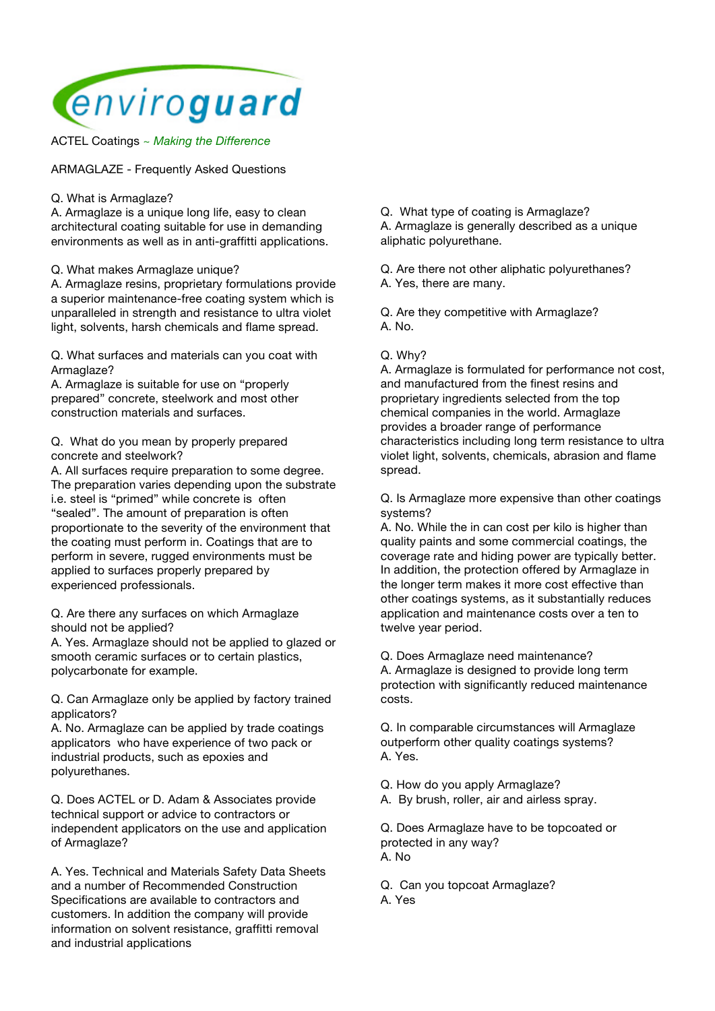

ACTEL Coatings *~ Making the Difference*

ARMAGLAZE - Frequently Asked Questions

Q. What is Armaglaze?

A. Armaglaze is a unique long life, easy to clean architectural coating suitable for use in demanding environments as well as in anti-graffitti applications.

Q. What makes Armaglaze unique?

A. Armaglaze resins, proprietary formulations provide a superior maintenance-free coating system which is unparalleled in strength and resistance to ultra violet light, solvents, harsh chemicals and flame spread.

Q. What surfaces and materials can you coat with Armaglaze?

A. Armaglaze is suitable for use on "properly prepared" concrete, steelwork and most other construction materials and surfaces.

Q. What do you mean by properly prepared concrete and steelwork?

A. All surfaces require preparation to some degree. The preparation varies depending upon the substrate i.e. steel is "primed" while concrete is often "sealed". The amount of preparation is often proportionate to the severity of the environment that the coating must perform in. Coatings that are to perform in severe, rugged environments must be applied to surfaces properly prepared by experienced professionals.

Q. Are there any surfaces on which Armaglaze should not be applied?

A. Yes. Armaglaze should not be applied to glazed or smooth ceramic surfaces or to certain plastics, polycarbonate for example.

Q. Can Armaglaze only be applied by factory trained applicators?

A. No. Armaglaze can be applied by trade coatings applicators who have experience of two pack or industrial products, such as epoxies and polyurethanes.

Q. Does ACTEL or D. Adam & Associates provide technical support or advice to contractors or independent applicators on the use and application of Armaglaze?

A. Yes. Technical and Materials Safety Data Sheets and a number of Recommended Construction Specifications are available to contractors and customers. In addition the company will provide information on solvent resistance, graffitti removal and industrial applications

Q. What type of coating is Armaglaze?

A. Armaglaze is generally described as a unique aliphatic polyurethane.

Q. Are there not other aliphatic polyurethanes? A. Yes, there are many.

Q. Are they competitive with Armaglaze? A. No.

## Q. Why?

A. Armaglaze is formulated for performance not cost, and manufactured from the finest resins and proprietary ingredients selected from the top chemical companies in the world. Armaglaze provides a broader range of performance characteristics including long term resistance to ultra violet light, solvents, chemicals, abrasion and flame spread.

Q. Is Armaglaze more expensive than other coatings systems?

A. No. While the in can cost per kilo is higher than quality paints and some commercial coatings, the coverage rate and hiding power are typically better. In addition, the protection offered by Armaglaze in the longer term makes it more cost effective than other coatings systems, as it substantially reduces application and maintenance costs over a ten to twelve year period.

Q. Does Armaglaze need maintenance?

A. Armaglaze is designed to provide long term protection with significantly reduced maintenance costs.

Q. In comparable circumstances will Armaglaze outperform other quality coatings systems? A. Yes.

Q. How do you apply Armaglaze?

A. By brush, roller, air and airless spray.

Q. Does Armaglaze have to be topcoated or protected in any way? A. No

Q. Can you topcoat Armaglaze? A. Yes